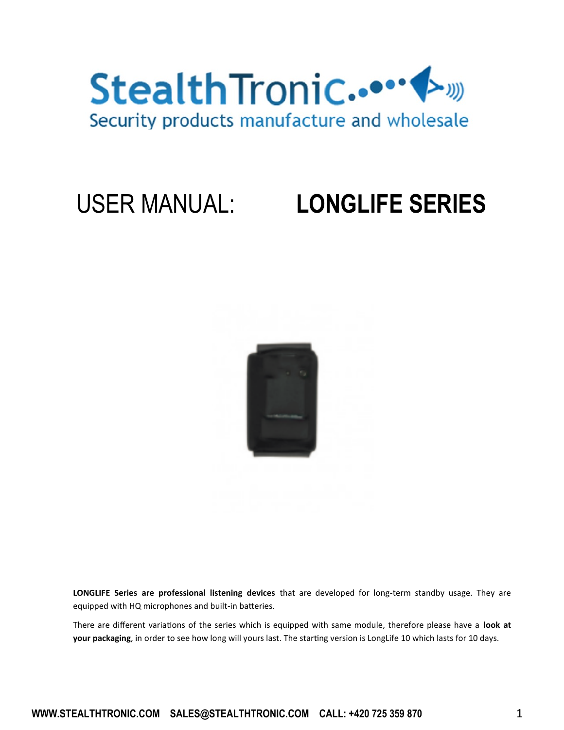

### USER MANUAL: **LONGLIFE SERIES**



**LONGLIFE Series are professional listening devices** that are developed for long-term standby usage. They are equipped with HQ microphones and built-in batteries.

There are different variations of the series which is equipped with same module, therefore please have a **look at your packaging**, in order to see how long will yours last. The starting version is LongLife 10 which lasts for 10 days.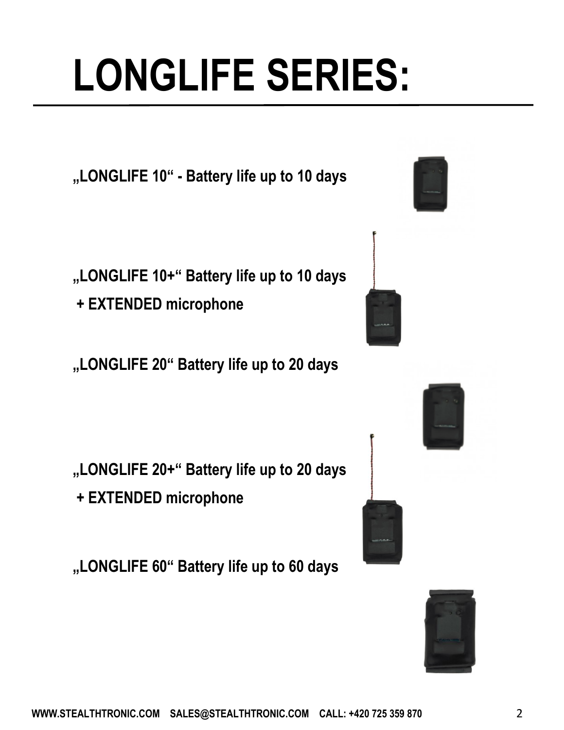**WWW.STEALTHTRONIC.COM SALES@STEALTHTRONIC.COM CALL: +420 725 359 870** 2

# **LONGLIFE SERIES:**

**"LONGLIFE 10" - Battery life up to 10 days**

- **"LONGLIFE 10+" Battery life up to 10 days**
- **+ EXTENDED microphone**
- **"LONGLIFE 20" Battery life up to 20 days**

- **"LONGLIFE 20+" Battery life up to 20 days + EXTENDED microphone**
- **"LONGLIFE 60" Battery life up to 60 days**







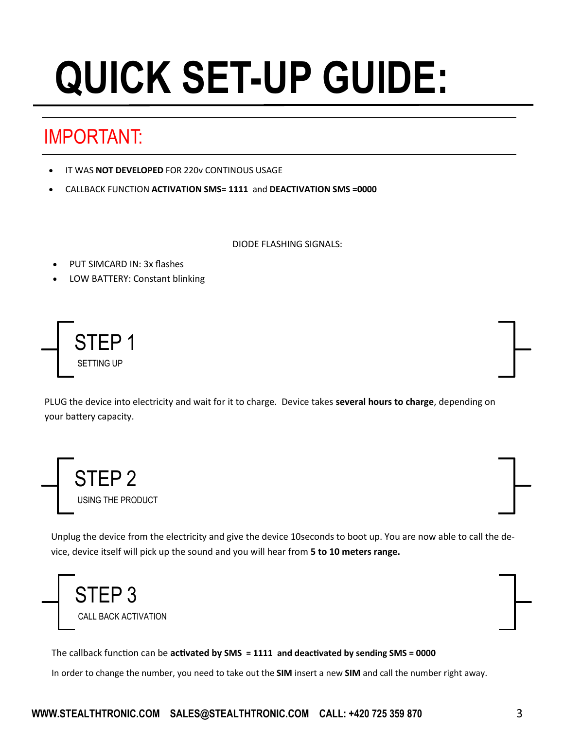# **QUICK SET-UP GUIDE:**

#### IMPORTANT:

- IT WAS **NOT DEVELOPED** FOR 220v CONTINOUS USAGE
- CALLBACK FUNCTION **ACTIVATION SMS**= **1111** and **DEACTIVATION SMS =0000**

DIODE FLASHING SIGNALS:

- PUT SIMCARD IN: 3x flashes
- LOW BATTERY: Constant blinking



PLUG the device into electricity and wait for it to charge. Device takes **several hours to charge**, depending on your battery capacity.



Unplug the device from the electricity and give the device 10seconds to boot up. You are now able to call the device, device itself will pick up the sound and you will hear from **5 to 10 meters range.**



The callback function can be **activated by SMS = 1111 and deactivated by sending SMS = 0000**

In order to change the number, you need to take out the **SIM** insert a new **SIM** and call the number right away.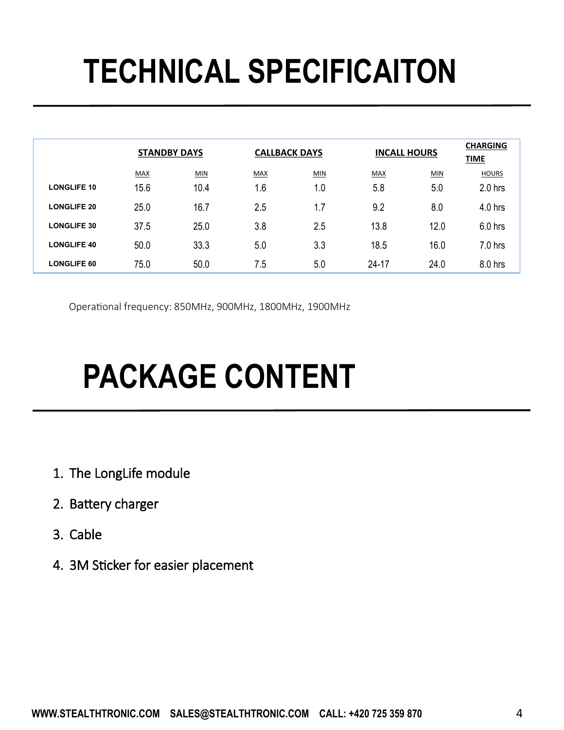### **TECHNICAL SPECIFICAITON**

|                    | <b>STANDBY DAYS</b> |      | <b>CALLBACK DAYS</b> |     | <b>INCALL HOURS</b> |      | <b>CHARGING</b><br><b>TIME</b> |
|--------------------|---------------------|------|----------------------|-----|---------------------|------|--------------------------------|
|                    | <b>MAX</b>          | MIN  | MAX                  | MIN | <b>MAX</b>          | MIN  | <b>HOURS</b>                   |
| <b>LONGLIFE 10</b> | 15.6                | 10.4 | 1.6                  | 1.0 | 5.8                 | 5.0  | $2.0$ hrs                      |
| <b>LONGLIFE 20</b> | 25.0                | 16.7 | 2.5                  | 1.7 | 9.2                 | 8.0  | 4.0 hrs                        |
| <b>LONGLIFE 30</b> | 37.5                | 25.0 | 3.8                  | 2.5 | 13.8                | 12.0 | $6.0$ hrs                      |
| <b>LONGLIFE 40</b> | 50.0                | 33.3 | 5.0                  | 3.3 | 18.5                | 16.0 | 7.0 hrs                        |
| <b>LONGLIFE 60</b> | 75.0                | 50.0 | 7.5                  | 5.0 | $24 - 17$           | 24.0 | 8.0 hrs                        |

Operational frequency: 850MHz, 900MHz, 1800MHz, 1900MHz

### **PACKAGE CONTENT**

- 1. The LongLife module
- 2. Battery charger
- 3. Cable
- 4. 3M Sticker for easier placement